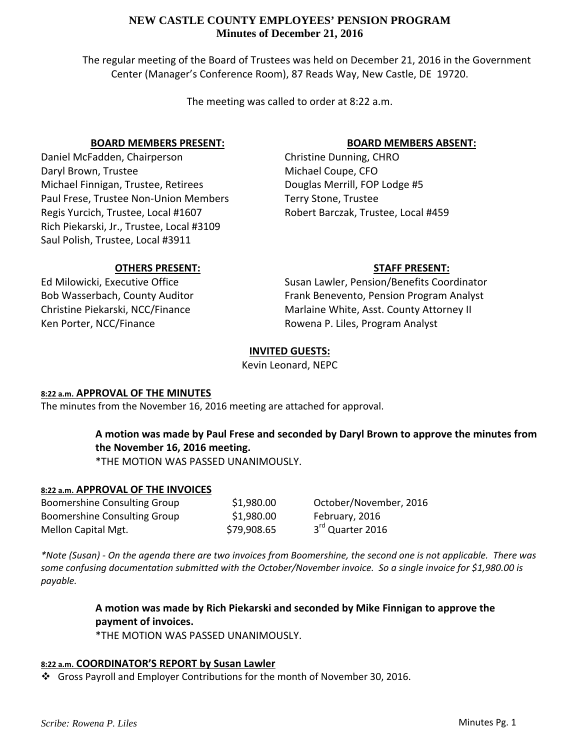The regular meeting of the Board of Trustees was held on December 21, 2016 in the Government Center (Manager's Conference Room), 87 Reads Way, New Castle, DE 19720.

The meeting was called to order at 8:22 a.m.

## **BOARD MEMBERS PRESENT:**

Daniel McFadden, Chairperson Daryl Brown, Trustee Michael Finnigan, Trustee, Retirees Paul Frese, Trustee Non‐Union Members Regis Yurcich, Trustee, Local #1607 Rich Piekarski, Jr., Trustee, Local #3109 Saul Polish, Trustee, Local #3911

## **BOARD MEMBERS ABSENT:**

Christine Dunning, CHRO Michael Coupe, CFO Douglas Merrill, FOP Lodge #5 Terry Stone, Trustee Robert Barczak, Trustee, Local #459

## **OTHERS PRESENT:**

Ed Milowicki, Executive Office Bob Wasserbach, County Auditor Christine Piekarski, NCC/Finance Ken Porter, NCC/Finance

**STAFF PRESENT:** Susan Lawler, Pension/Benefits Coordinator Frank Benevento, Pension Program Analyst Marlaine White, Asst. County Attorney II Rowena P. Liles, Program Analyst

# **INVITED GUESTS:**

Kevin Leonard, NEPC

## **8:22 a.m. APPROVAL OF THE MINUTES**

The minutes from the November 16, 2016 meeting are attached for approval.

# **A motion was made by Paul Frese and seconded by Daryl Brown to approve the minutes from the November 16, 2016 meeting.**

\*THE MOTION WAS PASSED UNANIMOUSLY.

## **8:22 a.m. APPROVAL OF THE INVOICES**

Boomershine Consulting Group \$1,980.00 October/November, 2016 Boomershine Consulting Group \$1,980.00 February, 2016 Mellon Capital Mgt.  $$79,908.65$   $3^{rd}$  Quarter 2016

\*Note (Susan) - On the agenda there are two invoices from Boomershine, the second one is not applicable. There was *some confusing documentation submitted with the October/November invoice. So a single invoice for \$1,980.00 is payable.*

# **A motion was made by Rich Piekarski and seconded by Mike Finnigan to approve the payment of invoices.**

\*THE MOTION WAS PASSED UNANIMOUSLY.

## **8:22 a.m. COORDINATOR'S REPORT by Susan Lawler**

Gross Payroll and Employer Contributions for the month of November 30, 2016.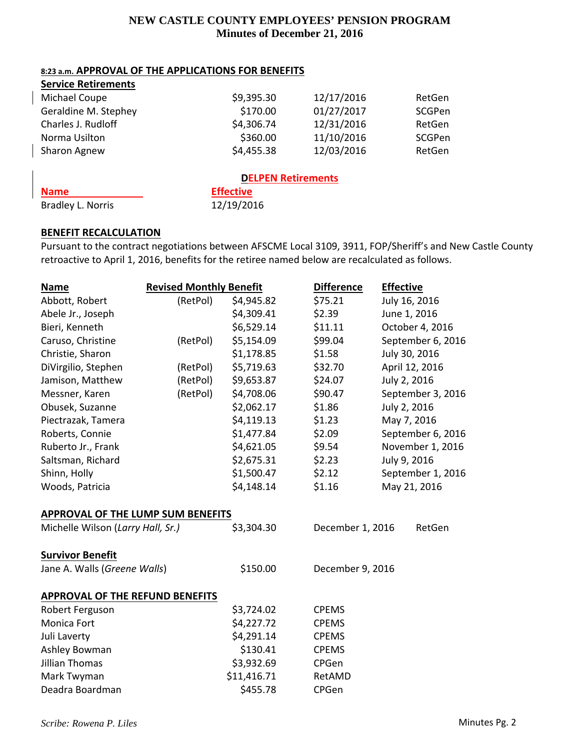## **8:23 a.m. APPROVAL OF THE APPLICATIONS FOR BENEFITS**

| <b>Service Retirements</b> |            |            |        |  |
|----------------------------|------------|------------|--------|--|
| Michael Coupe              | \$9,395.30 | 12/17/2016 | RetGen |  |
| Geraldine M. Stephey       | \$170.00   | 01/27/2017 | SCGPen |  |
| Charles J. Rudloff         | \$4,306.74 | 12/31/2016 | RetGen |  |
| Norma Usilton              | \$360.00   | 11/10/2016 | SCGPen |  |
| Sharon Agnew               | \$4,455.38 | 12/03/2016 | RetGen |  |
| <b>DELPEN Retirements</b>  |            |            |        |  |

**Name Effective** Bradley L. Norris 12/19/2016

# **BENEFIT RECALCULATION**

Pursuant to the contract negotiations between AFSCME Local 3109, 3911, FOP/Sheriff's and New Castle County retroactive to April 1, 2016, benefits for the retiree named below are recalculated as follows.

| <b>Name</b>                            | <b>Revised Monthly Benefit</b> |             | <b>Difference</b> | <b>Effective</b> |                   |
|----------------------------------------|--------------------------------|-------------|-------------------|------------------|-------------------|
| Abbott, Robert                         | (RetPol)                       | \$4,945.82  | \$75.21           |                  | July 16, 2016     |
| Abele Jr., Joseph                      |                                | \$4,309.41  | \$2.39            |                  | June 1, 2016      |
| Bieri, Kenneth                         |                                | \$6,529.14  | \$11.11           |                  | October 4, 2016   |
| Caruso, Christine                      | (RetPol)                       | \$5,154.09  | \$99.04           |                  | September 6, 2016 |
| Christie, Sharon                       |                                | \$1,178.85  | \$1.58            |                  | July 30, 2016     |
| DiVirgilio, Stephen                    | (RetPol)                       | \$5,719.63  | \$32.70           |                  | April 12, 2016    |
| Jamison, Matthew                       | (RetPol)                       | \$9,653.87  | \$24.07           |                  | July 2, 2016      |
| Messner, Karen                         | (RetPol)                       | \$4,708.06  | \$90.47           |                  | September 3, 2016 |
| Obusek, Suzanne                        |                                | \$2,062.17  | \$1.86            |                  | July 2, 2016      |
| Piectrazak, Tamera                     |                                | \$4,119.13  | \$1.23            |                  | May 7, 2016       |
| Roberts, Connie                        |                                | \$1,477.84  | \$2.09            |                  | September 6, 2016 |
| Ruberto Jr., Frank                     |                                | \$4,621.05  | \$9.54            |                  | November 1, 2016  |
| Saltsman, Richard                      |                                | \$2,675.31  | \$2.23            |                  | July 9, 2016      |
| Shinn, Holly                           |                                | \$1,500.47  | \$2.12            |                  | September 1, 2016 |
| Woods, Patricia                        |                                | \$4,148.14  | \$1.16            |                  | May 21, 2016      |
| APPROVAL OF THE LUMP SUM BENEFITS      |                                |             |                   |                  |                   |
| Michelle Wilson (Larry Hall, Sr.)      |                                | \$3,304.30  | December 1, 2016  |                  | RetGen            |
| <b>Survivor Benefit</b>                |                                |             |                   |                  |                   |
| Jane A. Walls (Greene Walls)           |                                | \$150.00    | December 9, 2016  |                  |                   |
| <b>APPROVAL OF THE REFUND BENEFITS</b> |                                |             |                   |                  |                   |
| Robert Ferguson                        |                                | \$3,724.02  | <b>CPEMS</b>      |                  |                   |
| Monica Fort                            |                                | \$4,227.72  | <b>CPEMS</b>      |                  |                   |
| Juli Laverty                           |                                | \$4,291.14  | <b>CPEMS</b>      |                  |                   |
| Ashley Bowman                          |                                | \$130.41    | <b>CPEMS</b>      |                  |                   |
| <b>Jillian Thomas</b>                  |                                | \$3,932.69  | <b>CPGen</b>      |                  |                   |
| Mark Twyman                            |                                | \$11,416.71 | RetAMD            |                  |                   |
| Deadra Boardman                        |                                | \$455.78    | CPGen             |                  |                   |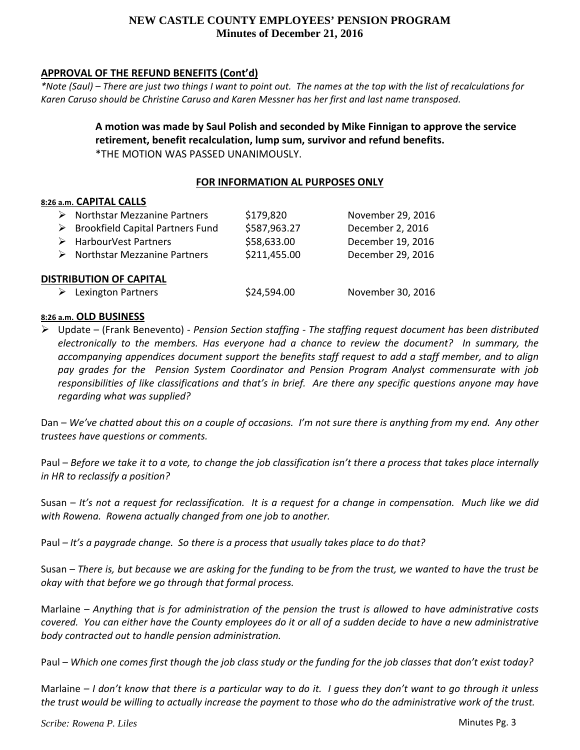# **APPROVAL OF THE REFUND BENEFITS (Cont'd)**

\*Note (Saul) – There are just two things I want to point out. The names at the top with the list of recalculations for *Karen Caruso should be Christine Caruso and Karen Messner has her first and last name transposed.*

> **A motion was made by Saul Polish and seconded by Mike Finnigan to approve the service retirement, benefit recalculation, lump sum, survivor and refund benefits.** \*THE MOTION WAS PASSED UNANIMOUSLY.

## **FOR INFORMATION AL PURPOSES ONLY**

## **8:26 a.m. CAPITAL CALLS**

|                                | $\triangleright$ Northstar Mezzanine Partners     | \$179,820    | November 29, 2016 |  |  |  |
|--------------------------------|---------------------------------------------------|--------------|-------------------|--|--|--|
|                                | $\triangleright$ Brookfield Capital Partners Fund | \$587,963.27 | December 2, 2016  |  |  |  |
|                                | $\triangleright$ HarbourVest Partners             | \$58,633.00  | December 19, 2016 |  |  |  |
|                                | $\triangleright$ Northstar Mezzanine Partners     | \$211,455.00 | December 29, 2016 |  |  |  |
| <b>DISTRIBUTION OF CAPITAL</b> |                                                   |              |                   |  |  |  |
|                                | <b>Lexington Partners</b>                         | \$24,594.00  | November 30, 2016 |  |  |  |

## **8:26 a.m. OLD BUSINESS**

 Update – (Frank Benevento) ‐ *Pension Section staffing ‐ The staffing request document has been distributed electronically to the members. Has everyone had a chance to review the document? In summary, the accompanying appendices document support the benefits staff request to add a staff member, and to align pay grades for the Pension System Coordinator and Pension Program Analyst commensurate with job* responsibilities of like classifications and that's in brief. Are there any specific questions anyone may have *regarding what was supplied?*

Dan – We've chatted about this on a couple of occasions. I'm not sure there is anything from my end. Any other *trustees have questions or comments.*

Paul - Before we take it to a vote, to change the job classification isn't there a process that takes place internally *in HR to reclassify a position?*

Susan – It's not a request for reclassification. It is a request for a change in compensation. Much like we did *with Rowena. Rowena actually changed from one job to another.*

Paul *– It's a paygrade change. So there is a process that usually takes place to do that?*

Susan – There is, but because we are asking for the funding to be from the trust, we wanted to have the trust be *okay with that before we go through that formal process.*

Marlaine – Anything that is for administration of the pension the trust is allowed to have administrative costs covered. You can either have the County employees do it or all of a sudden decide to have a new administrative *body contracted out to handle pension administration.*

Paul – Which one comes first though the job class study or the funding for the job classes that don't exist today?

Marlaine  $-1$  don't know that there is a particular way to do it. I quess they don't want to go through it unless the trust would be willing to actually increase the payment to those who do the administrative work of the trust.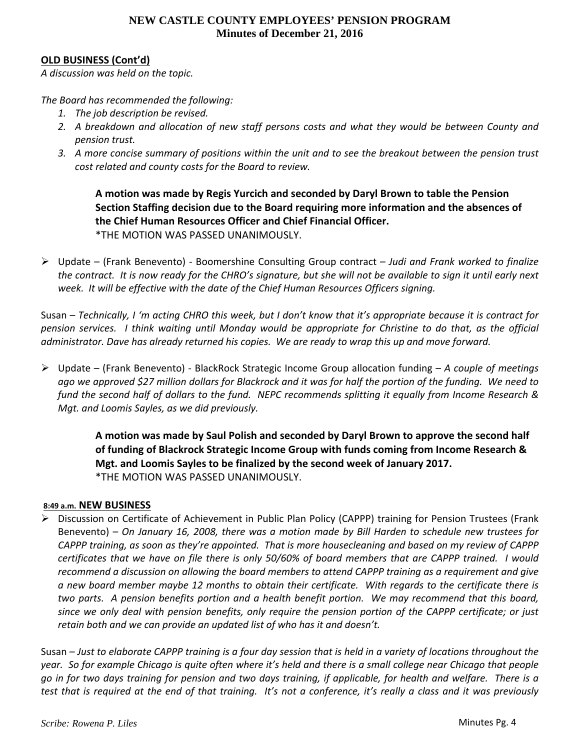## **OLD BUSINESS (Cont'd)**

*A discussion was held on the topic.* 

*The Board has recommended the following:*

- *1. The job description be revised.*
- *2. A breakdown and allocation of new staff persons costs and what they would be between County and pension trust.*
- 3. A more concise summary of positions within the unit and to see the breakout between the pension trust *cost related and county costs for the Board to review.*

**A motion was made by Regis Yurcich and seconded by Daryl Brown to table the Pension Section Staffing decision due to the Board requiring more information and the absences of the Chief Human Resources Officer and Chief Financial Officer.** \*THE MOTION WAS PASSED UNANIMOUSLY.

 Update – (Frank Benevento) ‐ Boomershine Consulting Group contract – *Judi and Frank worked to finalize* the contract. It is now ready for the CHRO's signature, but she will not be available to sign it until early next *week. It will be effective with the date of the Chief Human Resources Officers signing.*

Susan – Technically, I'm acting CHRO this week, but I don't know that it's appropriate because it is contract for pension services. I think waiting until Monday would be appropriate for Christine to do that, as the official administrator. Dave has already returned his copies. We are ready to wrap this up and move forward.

 Update – (Frank Benevento) ‐ BlackRock Strategic Income Group allocation funding – *A couple of meetings* ago we approved \$27 million dollars for Blackrock and it was for half the portion of the funding. We need to fund the second half of dollars to the fund. NEPC recommends splitting it equally from Income Research & *Mgt. and Loomis Sayles, as we did previously.*

> **A motion was made by Saul Polish and seconded by Daryl Brown to approve the second half of funding of Blackrock Strategic Income Group with funds coming from Income Research & Mgt. and Loomis Sayles to be finalized by the second week of January 2017.** \*THE MOTION WAS PASSED UNANIMOUSLY.

## **8:49 a.m. NEW BUSINESS**

 Discussion on Certificate of Achievement in Public Plan Policy (CAPPP) training for Pension Trustees (Frank Benevento) – *On January 16, 2008, there was a motion made by Bill Harden to schedule new trustees for* CAPPP training, as soon as they're appointed. That is more housecleaning and based on my review of CAPPP certificates that we have on file there is only 50/60% of board members that are CAPPP trained. I would *recommend a discussion on allowing the board members to attend CAPPP training as a requirement and give* a new board member maybe 12 months to obtain their certificate. With regards to the certificate there is two parts. A pension benefits portion and a health benefit portion. We may recommend that this board, since we only deal with pension benefits, only require the pension portion of the CAPPP certificate; or just *retain both and we can provide an updated list of who has it and doesn't.* 

Susan – Just to elaborate CAPPP training is a four day session that is held in a variety of locations throughout the year. So for example Chicago is quite often where it's held and there is a small college near Chicago that people go in for two days training for pension and two days training, if applicable, for health and welfare. There is a test that is required at the end of that training. It's not a conference, it's really a class and it was previously